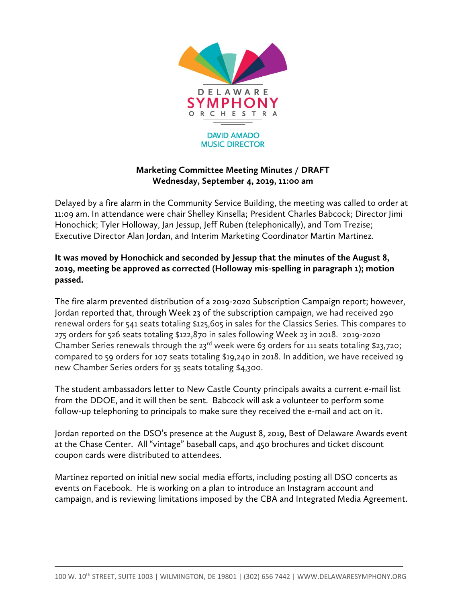

## **Marketing Committee Meeting Minutes / DRAFT Wednesday, September 4, 2019, 11:00 am**

Delayed by a fire alarm in the Community Service Building, the meeting was called to order at 11:09 am. In attendance were chair Shelley Kinsella; President Charles Babcock; Director Jimi Honochick; Tyler Holloway, Jan Jessup, Jeff Ruben (telephonically), and Tom Trezise; Executive Director Alan Jordan, and Interim Marketing Coordinator Martin Martinez.

## **It was moved by Honochick and seconded by Jessup that the minutes of the August 8, 2019, meeting be approved as corrected (Holloway mis-spelling in paragraph 1); motion passed.**

The fire alarm prevented distribution of a 2019-2020 Subscription Campaign report; however, Jordan reported that, through Week 23 of the subscription campaign, we had received 290 renewal orders for 541 seats totaling \$125,605 in sales for the Classics Series. This compares to 275 orders for 526 seats totaling \$122,870 in sales following Week 23 in 2018. 2019-2020 Chamber Series renewals through the  $23^{rd}$  week were 63 orders for 111 seats totaling \$23,720; compared to 59 orders for 107 seats totaling \$19,240 in 2018. In addition, we have received 19 new Chamber Series orders for 35 seats totaling \$4,300.

The student ambassadors letter to New Castle County principals awaits a current e-mail list from the DDOE, and it will then be sent. Babcock will ask a volunteer to perform some follow-up telephoning to principals to make sure they received the e-mail and act on it.

Jordan reported on the DSO's presence at the August 8, 2019, Best of Delaware Awards event at the Chase Center. All "vintage" baseball caps, and 450 brochures and ticket discount coupon cards were distributed to attendees.

Martinez reported on initial new social media efforts, including posting all DSO concerts as events on Facebook. He is working on a plan to introduce an Instagram account and campaign, and is reviewing limitations imposed by the CBA and Integrated Media Agreement.